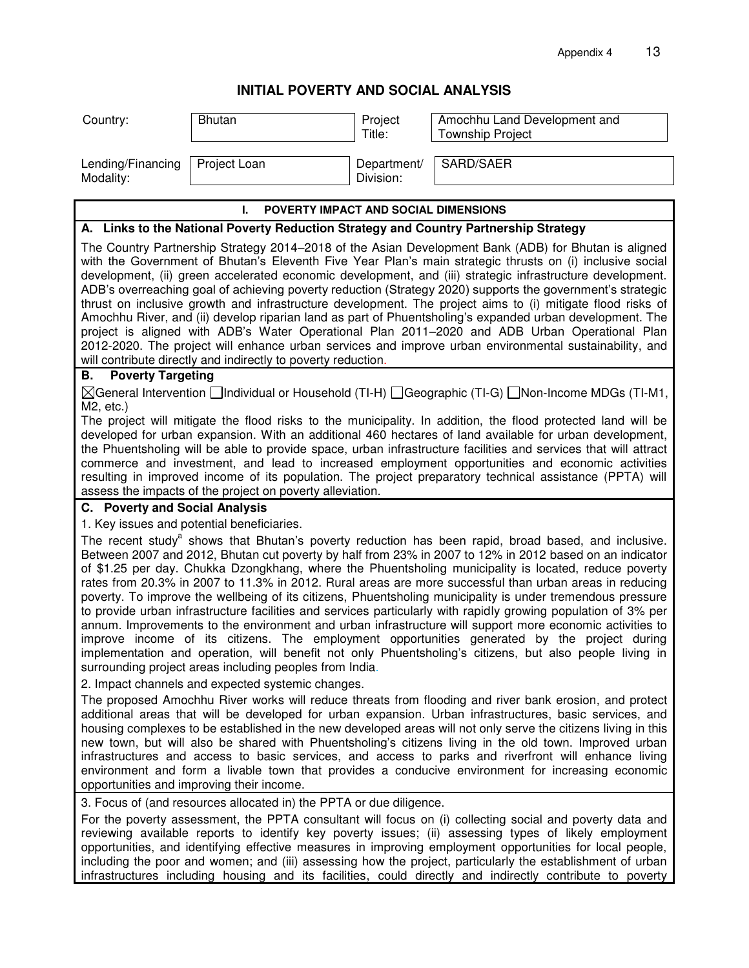| <b>INITIAL POVERTY AND SOCIAL ANALYSIS</b>                                                                                                                                                                                                                                                                                                                                                                                                                                                                                                                                                                                             |                                                                                      |                          |                                                                                                                                                                                                                                                                                                                                                                                                                                                                                                                                                                                                                                                                                                                                                                                                                                                                                  |  |
|----------------------------------------------------------------------------------------------------------------------------------------------------------------------------------------------------------------------------------------------------------------------------------------------------------------------------------------------------------------------------------------------------------------------------------------------------------------------------------------------------------------------------------------------------------------------------------------------------------------------------------------|--------------------------------------------------------------------------------------|--------------------------|----------------------------------------------------------------------------------------------------------------------------------------------------------------------------------------------------------------------------------------------------------------------------------------------------------------------------------------------------------------------------------------------------------------------------------------------------------------------------------------------------------------------------------------------------------------------------------------------------------------------------------------------------------------------------------------------------------------------------------------------------------------------------------------------------------------------------------------------------------------------------------|--|
| Country:                                                                                                                                                                                                                                                                                                                                                                                                                                                                                                                                                                                                                               | <b>Bhutan</b>                                                                        | Project<br>Title:        | Amochhu Land Development and<br><b>Township Project</b>                                                                                                                                                                                                                                                                                                                                                                                                                                                                                                                                                                                                                                                                                                                                                                                                                          |  |
| Lending/Financing<br>Modality:                                                                                                                                                                                                                                                                                                                                                                                                                                                                                                                                                                                                         | Project Loan                                                                         | Department/<br>Division: | SARD/SAER                                                                                                                                                                                                                                                                                                                                                                                                                                                                                                                                                                                                                                                                                                                                                                                                                                                                        |  |
|                                                                                                                                                                                                                                                                                                                                                                                                                                                                                                                                                                                                                                        | <b>POVERTY IMPACT AND SOCIAL DIMENSIONS</b><br>L.                                    |                          |                                                                                                                                                                                                                                                                                                                                                                                                                                                                                                                                                                                                                                                                                                                                                                                                                                                                                  |  |
|                                                                                                                                                                                                                                                                                                                                                                                                                                                                                                                                                                                                                                        | A. Links to the National Poverty Reduction Strategy and Country Partnership Strategy |                          |                                                                                                                                                                                                                                                                                                                                                                                                                                                                                                                                                                                                                                                                                                                                                                                                                                                                                  |  |
|                                                                                                                                                                                                                                                                                                                                                                                                                                                                                                                                                                                                                                        | will contribute directly and indirectly to poverty reduction.                        |                          | The Country Partnership Strategy 2014–2018 of the Asian Development Bank (ADB) for Bhutan is aligned<br>with the Government of Bhutan's Eleventh Five Year Plan's main strategic thrusts on (i) inclusive social<br>development, (ii) green accelerated economic development, and (iii) strategic infrastructure development.<br>ADB's overreaching goal of achieving poverty reduction (Strategy 2020) supports the government's strategic<br>thrust on inclusive growth and infrastructure development. The project aims to (i) mitigate flood risks of<br>Amochhu River, and (ii) develop riparian land as part of Phuentsholing's expanded urban development. The<br>project is aligned with ADB's Water Operational Plan 2011–2020 and ADB Urban Operational Plan<br>2012-2020. The project will enhance urban services and improve urban environmental sustainability, and |  |
| <b>B.</b> Poverty Targeting                                                                                                                                                                                                                                                                                                                                                                                                                                                                                                                                                                                                            |                                                                                      |                          |                                                                                                                                                                                                                                                                                                                                                                                                                                                                                                                                                                                                                                                                                                                                                                                                                                                                                  |  |
| ⊠General Intervention <i>Dindividual or Household</i> (TI-H) DGeographic (TI-G) DNon-Income MDGs (TI-M1,                                                                                                                                                                                                                                                                                                                                                                                                                                                                                                                               |                                                                                      |                          |                                                                                                                                                                                                                                                                                                                                                                                                                                                                                                                                                                                                                                                                                                                                                                                                                                                                                  |  |
| $M2$ , etc.)<br>The project will mitigate the flood risks to the municipality. In addition, the flood protected land will be<br>developed for urban expansion. With an additional 460 hectares of land available for urban development,<br>the Phuentsholing will be able to provide space, urban infrastructure facilities and services that will attract<br>commerce and investment, and lead to increased employment opportunities and economic activities<br>resulting in improved income of its population. The project preparatory technical assistance (PPTA) will<br>assess the impacts of the project on poverty alleviation. |                                                                                      |                          |                                                                                                                                                                                                                                                                                                                                                                                                                                                                                                                                                                                                                                                                                                                                                                                                                                                                                  |  |
| C. Poverty and Social Analysis                                                                                                                                                                                                                                                                                                                                                                                                                                                                                                                                                                                                         |                                                                                      |                          |                                                                                                                                                                                                                                                                                                                                                                                                                                                                                                                                                                                                                                                                                                                                                                                                                                                                                  |  |
|                                                                                                                                                                                                                                                                                                                                                                                                                                                                                                                                                                                                                                        | 1. Key issues and potential beneficiaries.                                           |                          |                                                                                                                                                                                                                                                                                                                                                                                                                                                                                                                                                                                                                                                                                                                                                                                                                                                                                  |  |
|                                                                                                                                                                                                                                                                                                                                                                                                                                                                                                                                                                                                                                        |                                                                                      |                          | The recent study <sup>a</sup> shows that Bhutan's poverty reduction has been rapid, broad based, and inclusive.                                                                                                                                                                                                                                                                                                                                                                                                                                                                                                                                                                                                                                                                                                                                                                  |  |

Between 2007 and 2012, Bhutan cut poverty by half from 23% in 2007 to 12% in 2012 based on an indicator of \$1.25 per day. Chukka Dzongkhang, where the Phuentsholing municipality is located, reduce poverty rates from 20.3% in 2007 to 11.3% in 2012. Rural areas are more successful than urban areas in reducing poverty. To improve the wellbeing of its citizens, Phuentsholing municipality is under tremendous pressure to provide urban infrastructure facilities and services particularly with rapidly growing population of 3% per annum. Improvements to the environment and urban infrastructure will support more economic activities to improve income of its citizens. The employment opportunities generated by the project during implementation and operation, will benefit not only Phuentsholing's citizens, but also people living in surrounding project areas including peoples from India.

2. Impact channels and expected systemic changes.

The proposed Amochhu River works will reduce threats from flooding and river bank erosion, and protect additional areas that will be developed for urban expansion. Urban infrastructures, basic services, and housing complexes to be established in the new developed areas will not only serve the citizens living in this new town, but will also be shared with Phuentsholing's citizens living in the old town. Improved urban infrastructures and access to basic services, and access to parks and riverfront will enhance living environment and form a livable town that provides a conducive environment for increasing economic opportunities and improving their income.

3. Focus of (and resources allocated in) the PPTA or due diligence.

For the poverty assessment, the PPTA consultant will focus on (i) collecting social and poverty data and reviewing available reports to identify key poverty issues; (ii) assessing types of likely employment opportunities, and identifying effective measures in improving employment opportunities for local people, including the poor and women; and (iii) assessing how the project, particularly the establishment of urban infrastructures including housing and its facilities, could directly and indirectly contribute to poverty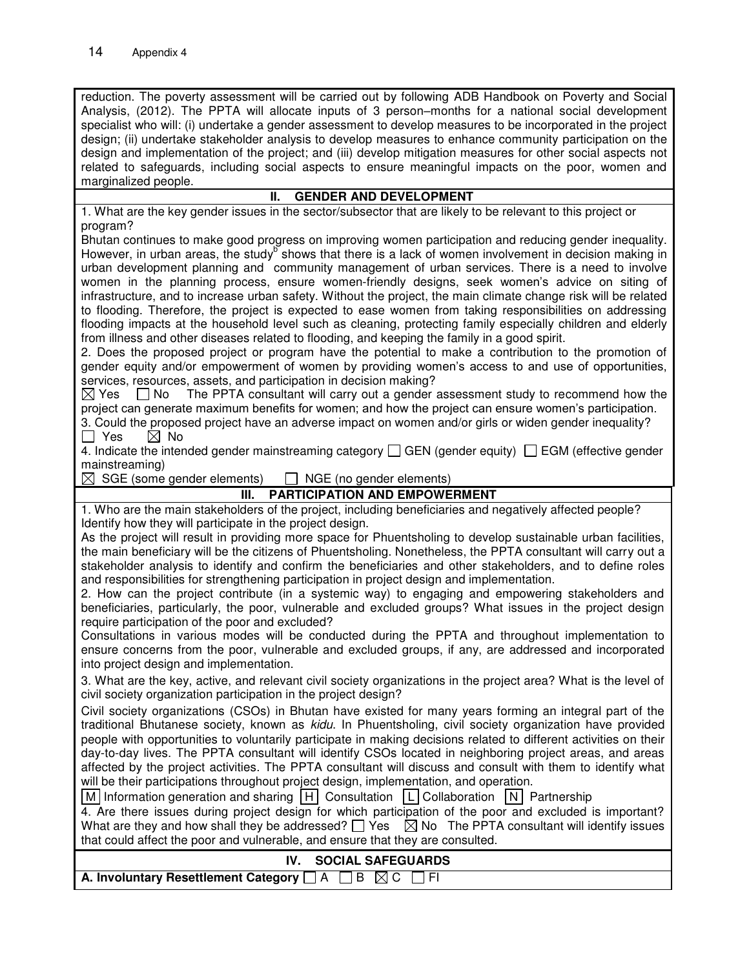reduction. The poverty assessment will be carried out by following ADB Handbook on Poverty and Social Analysis, (2012). The PPTA will allocate inputs of 3 person–months for a national social development specialist who will: (i) undertake a gender assessment to develop measures to be incorporated in the project design; (ii) undertake stakeholder analysis to develop measures to enhance community participation on the design and implementation of the project; and (iii) develop mitigation measures for other social aspects not related to safeguards, including social aspects to ensure meaningful impacts on the poor, women and marginalized people.

## **II. GENDER AND DEVELOPMENT**

|          | 1. What are the key gender issues in the sector/subsector that are likely to be relevant to this project or |  |
|----------|-------------------------------------------------------------------------------------------------------------|--|
| program? |                                                                                                             |  |

Bhutan continues to make good progress on improving women participation and reducing gender inequality. However, in urban areas, the study<sup>b</sup> shows that there is a lack of women involvement in decision making in urban development planning and community management of urban services. There is a need to involve women in the planning process, ensure women-friendly designs, seek women's advice on siting of infrastructure, and to increase urban safety. Without the project, the main climate change risk will be related to flooding. Therefore, the project is expected to ease women from taking responsibilities on addressing flooding impacts at the household level such as cleaning, protecting family especially children and elderly from illness and other diseases related to flooding, and keeping the family in a good spirit.

2. Does the proposed project or program have the potential to make a contribution to the promotion of gender equity and/or empowerment of women by providing women's access to and use of opportunities, services, resources, assets, and participation in decision making?

 $\boxtimes$  Yes  $\Box$  No The PPTA consultant will carry out a gender assessment study to recommend how the project can generate maximum benefits for women; and how the project can ensure women's participation.

3. Could the proposed project have an adverse impact on women and/or girls or widen gender inequality?  $\Box$  Yes  $\boxtimes$  No

4. Indicate the intended gender mainstreaming category  $\Box$  GEN (gender equity)  $\Box$  EGM (effective gender mainstreaming)

 $\boxtimes$  SGE (some gender elements)  $\Box$  NGE (no gender elements)

## **III. PARTICIPATION AND EMPOWERMENT**

1. Who are the main stakeholders of the project, including beneficiaries and negatively affected people? Identify how they will participate in the project design.

As the project will result in providing more space for Phuentsholing to develop sustainable urban facilities, the main beneficiary will be the citizens of Phuentsholing. Nonetheless, the PPTA consultant will carry out a stakeholder analysis to identify and confirm the beneficiaries and other stakeholders, and to define roles and responsibilities for strengthening participation in project design and implementation.

2. How can the project contribute (in a systemic way) to engaging and empowering stakeholders and beneficiaries, particularly, the poor, vulnerable and excluded groups? What issues in the project design require participation of the poor and excluded?

Consultations in various modes will be conducted during the PPTA and throughout implementation to ensure concerns from the poor, vulnerable and excluded groups, if any, are addressed and incorporated into project design and implementation.

3. What are the key, active, and relevant civil society organizations in the project area? What is the level of civil society organization participation in the project design?

Civil society organizations (CSOs) in Bhutan have existed for many years forming an integral part of the traditional Bhutanese society, known as *kidu*. In Phuentsholing, civil society organization have provided people with opportunities to voluntarily participate in making decisions related to different activities on their day-to-day lives. The PPTA consultant will identify CSOs located in neighboring project areas, and areas affected by the project activities. The PPTA consultant will discuss and consult with them to identify what will be their participations throughout project design, implementation, and operation.

| 4. Are there issues during project design for which participation of the poor and excluded is important?     |  |
|--------------------------------------------------------------------------------------------------------------|--|
| What are they and how shall they be addressed? $\Box$ Yes $\Box$ No The PPTA consultant will identify issues |  |
| that could affect the poor and vulnerable, and ensure that they are consulted.                               |  |

| <b>IV. SOCIAL SAFEGUARDS</b>                                                   |  |
|--------------------------------------------------------------------------------|--|
| A. Involuntary Resettlement Category $\Box$ A $\Box$ B $\boxtimes$ C $\Box$ FI |  |